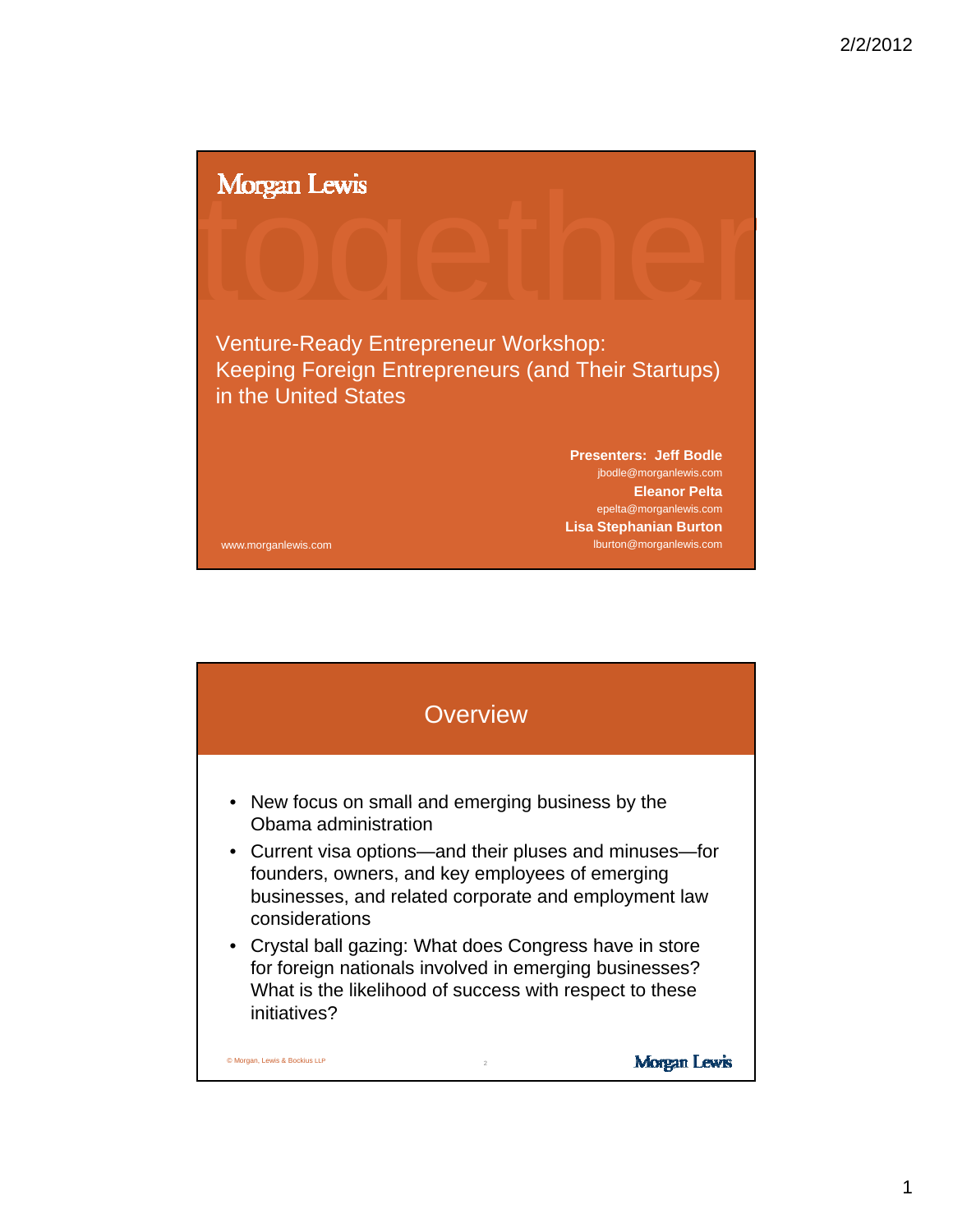Morgan Lewis<br>
and the contract of the contract of the contract of the contract of the contract of the contract of the contract of the contract of the contract of the contract of the contract of the contract of the contract Venture-Ready Entrepreneur Workshop: Keeping Foreign Entrepreneurs (and Their Startups) in the United States www.morganlewis.com **Presenters: Jeff Bodle** jbodle@morganlewis.com **Eleanor Pelta** epelta@morganlewis.com **Lisa Stephanian Burton** lburton@morganlewis.com

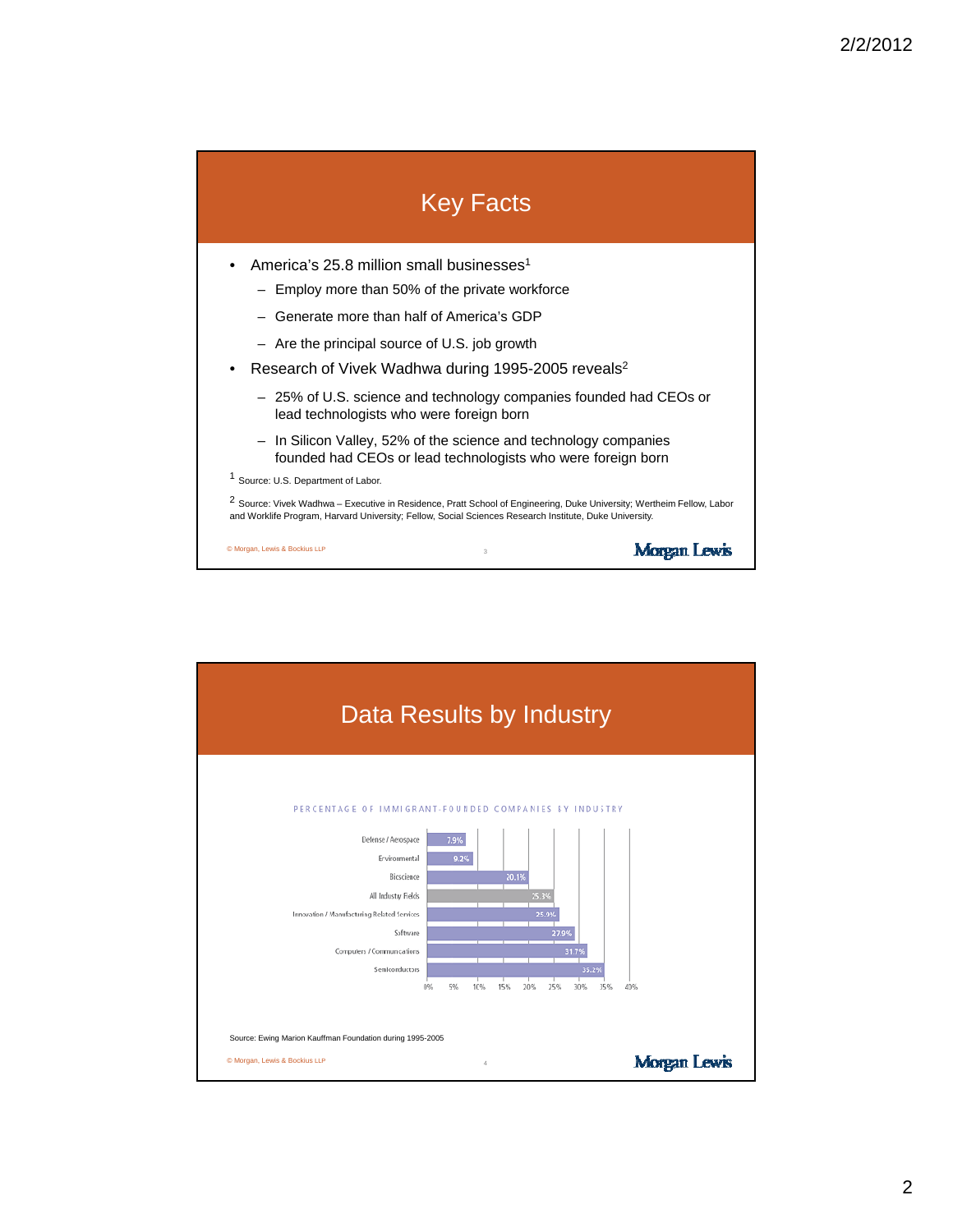## Key Facts

- America's 25.8 million small businesses<sup>1</sup>
	- $-$  Employ more than 50% of the private workforce
	- Generate more than half of America's GDP
	- Are the principal source of U.S. job growth
- Research of Vivek Wadhwa during 1995-2005 reveals<sup>2</sup>
	- 25% of U.S. science and technology companies founded had CEOs or lead technologists who were foreign born
	- In Silicon Valley, 52% of the science and technology companies founded had CEOs or lead technologists who were foreign born
- <sup>1</sup> Source: U.S. Department of Labor.
- <sup>2</sup> Source: Vivek Wadhwa Executive in Residence, Pratt School of Engineering, Duke University; Wertheim Fellow, Labor and Worklife Program, Harvard University; Fellow, Social Sciences Research Institute, Duke University.

3

**Morgan Lewis** 

© Morgan, Lewis & Bockius LLP

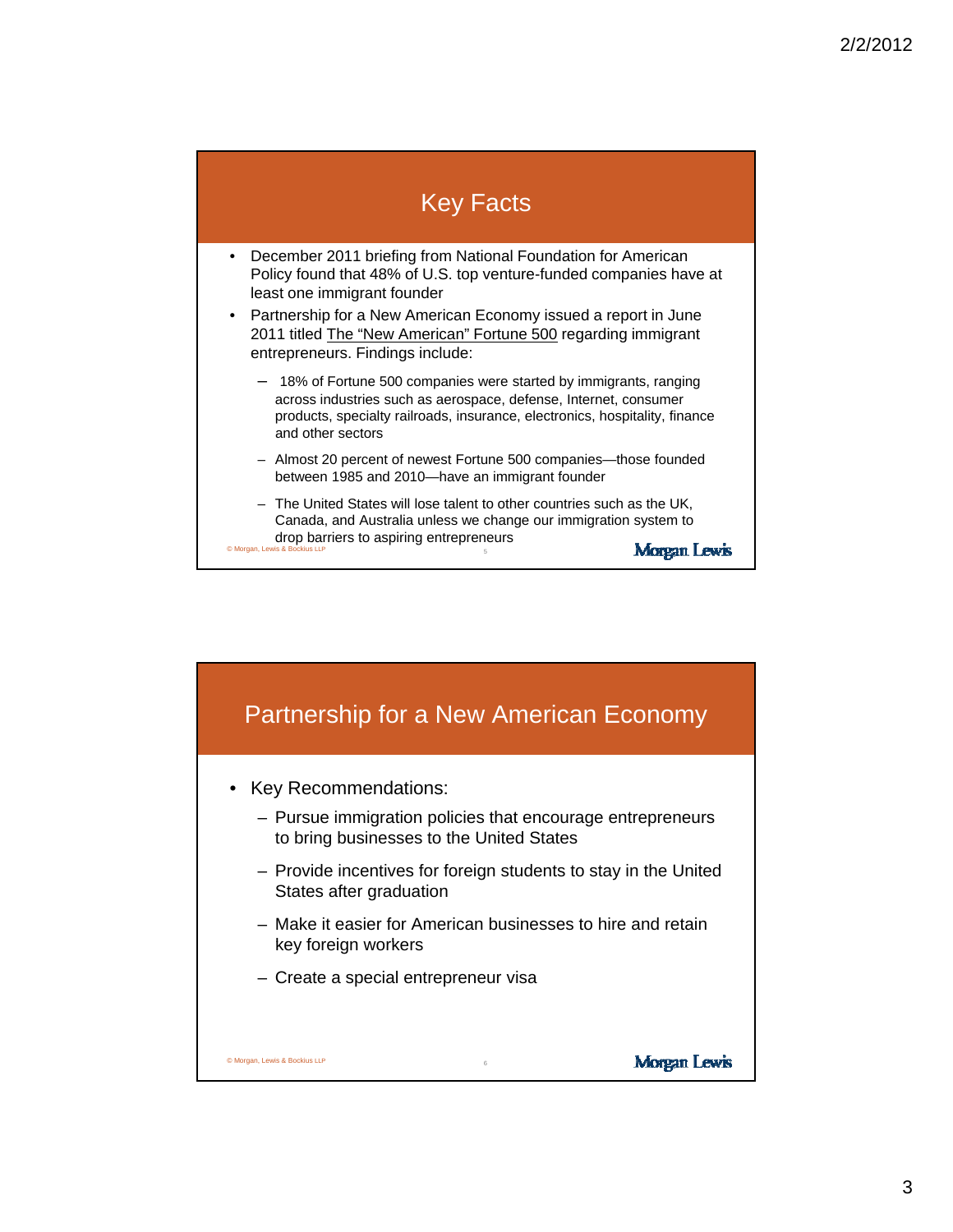## Key Facts

- December 2011 briefing from National Foundation for American Policy found that 48% of U.S. top venture-funded companies have at least one immigrant founder
- Partnership for a New American Economy issued a report in June 2011 titled The "New American" Fortune 500 regarding immigrant entrepreneurs. Findings include:
	- 18% of Fortune 500 companies were started by immigrants, ranging across industries such as aerospace, defense, Internet, consumer products, specialty railroads, insurance, electronics, hospitality, finance and other sectors
	- Almost 20 percent of newest Fortune 500 companies—those founded between 1985 and 2010—have an immigrant founder
- The United States will lose talent to other countries such as the UK, Canada, and Australia unless we change our immigration system to drop barriers to aspiring entrepreneurs Morgan Lewis © Morgan, Le

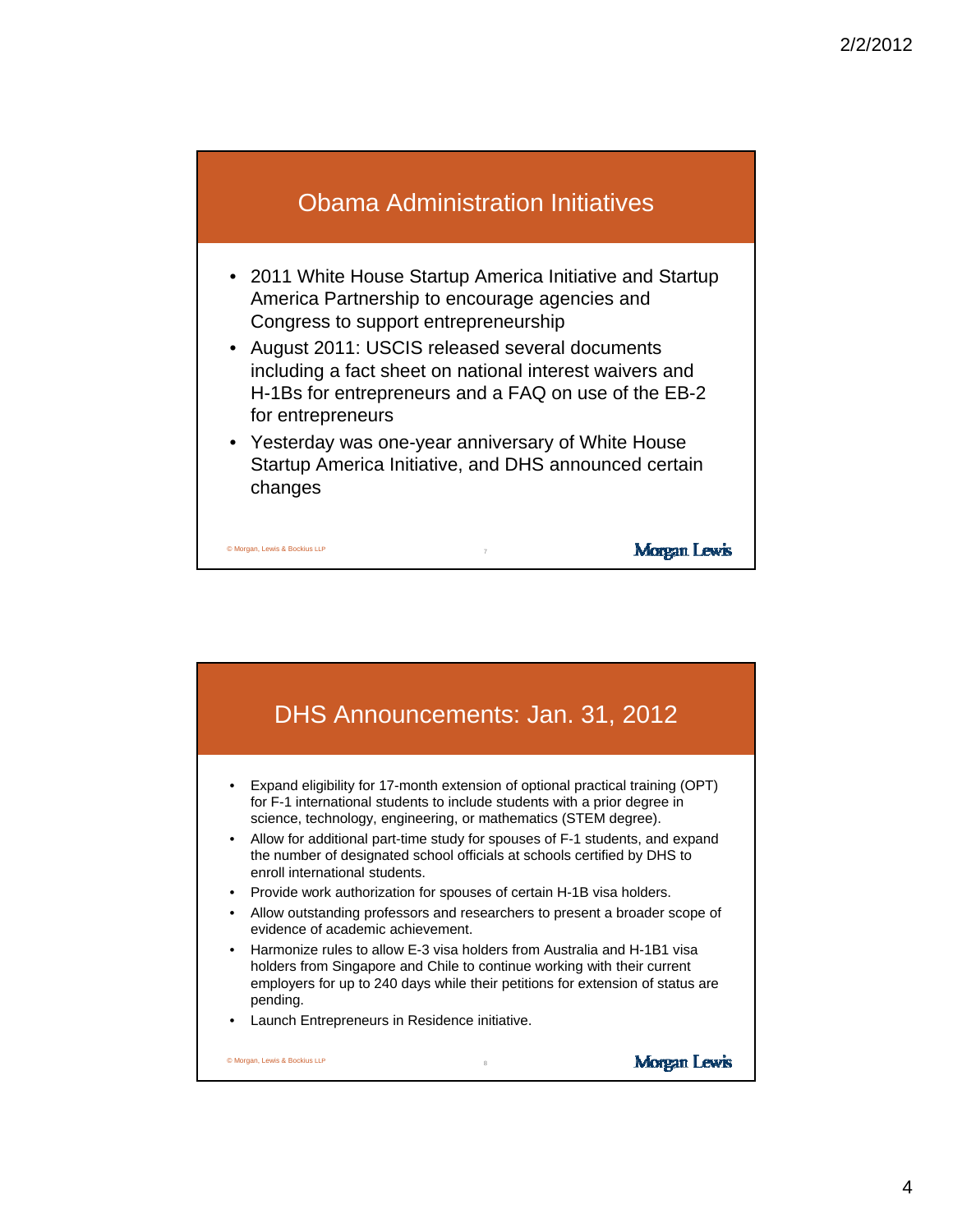## Obama Administration Initiatives

- 2011 White House Startup America Initiative and Startup America Partnership to encourage agencies and Congress to support entrepreneurship
- August 2011: USCIS released several documents including a fact sheet on national interest waivers and H-1Bs for entrepreneurs and a FAQ on use of the EB-2 for entrepreneurs
- Yesterday was one-year anniversary of White House Startup America Initiative, and DHS announced certain changes

7

**Morgan Lewis** 

© Morgan, Lewis & Bockius LLP

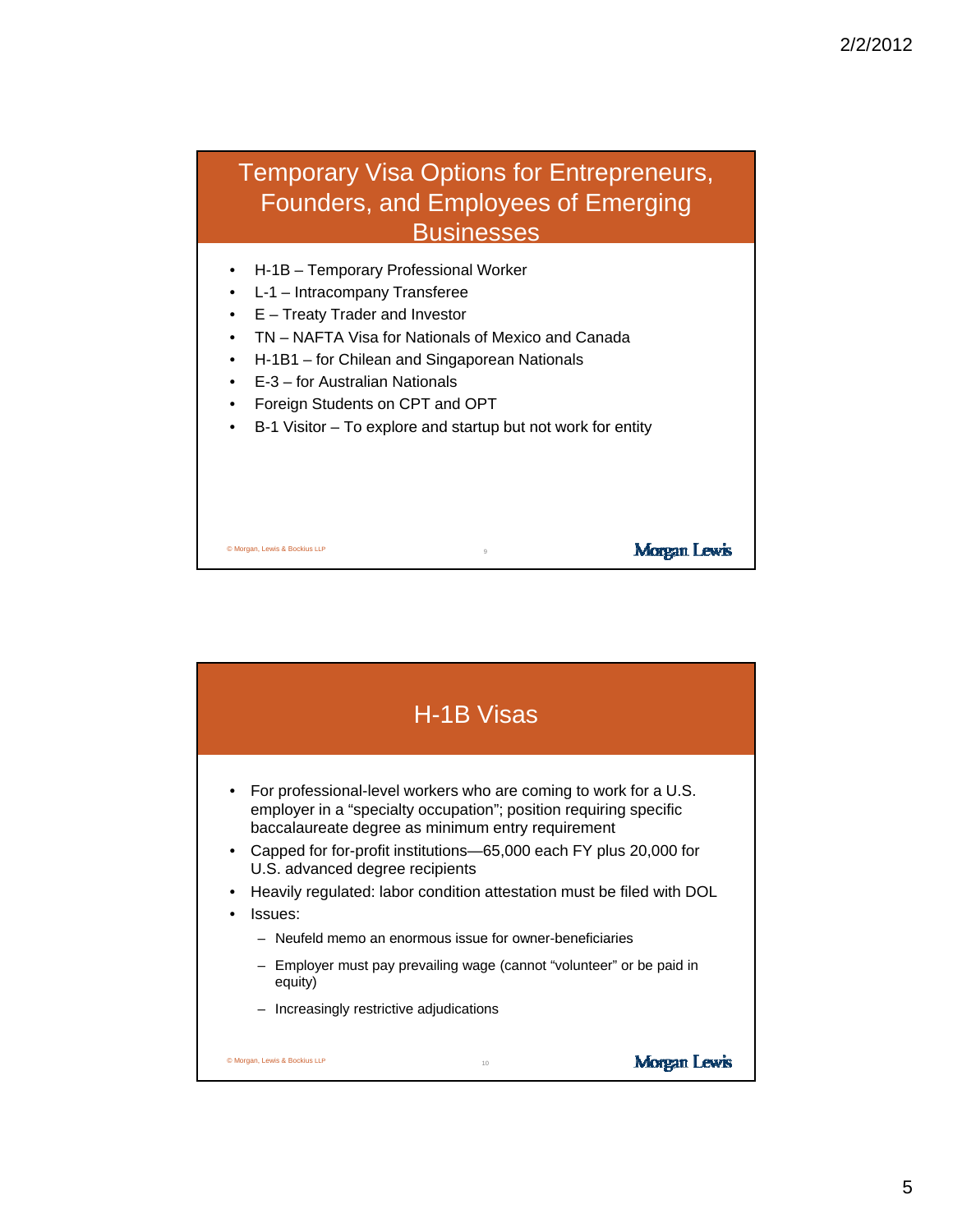

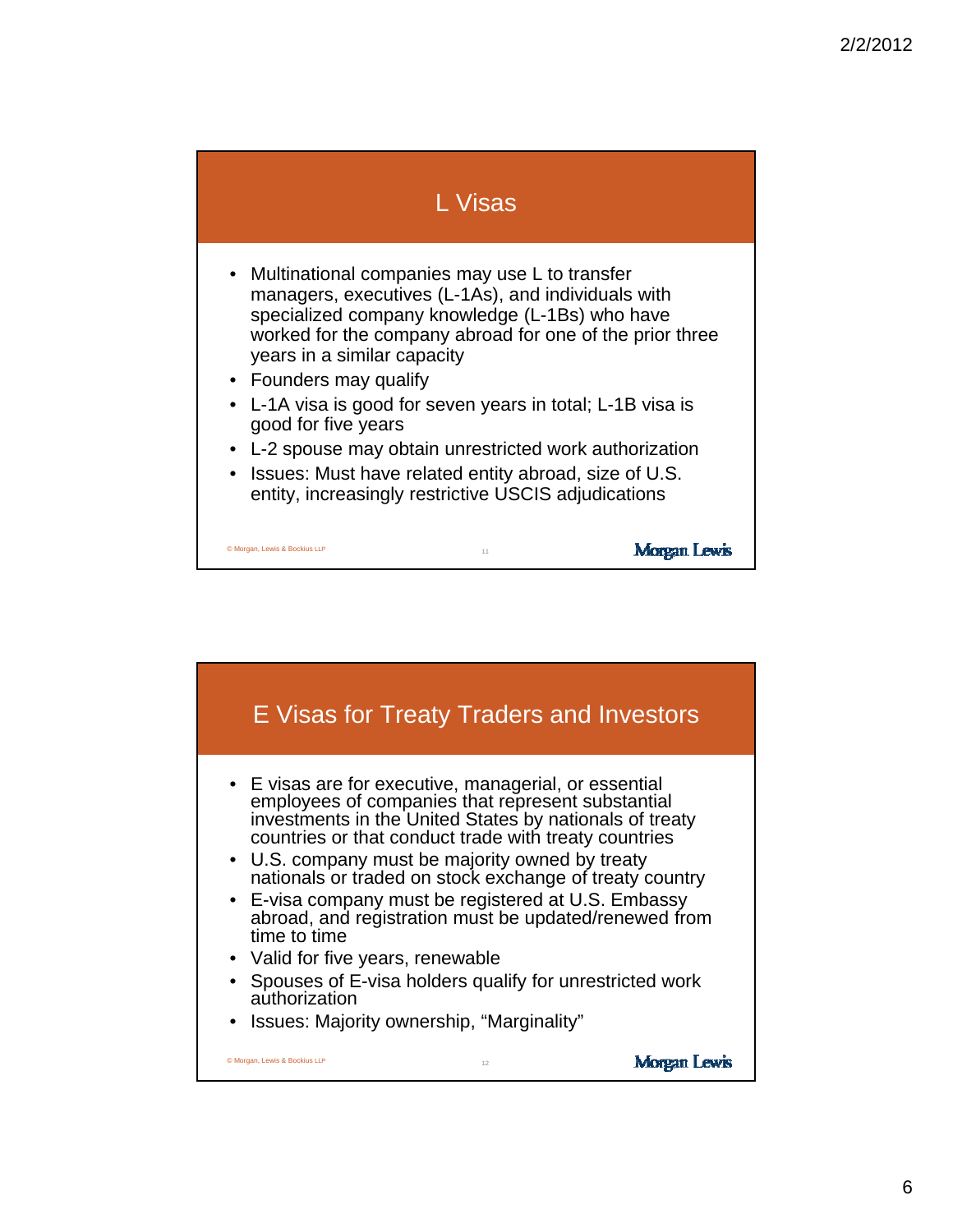

- Multinational companies may use L to transfer managers, executives (L-1As), and individuals with specialized company knowledge (L-1Bs) who have worked for the company abroad for one of the prior three years in a similar capacity
- Founders may qualify

© Morgan, Lewis & Bockius LLP

- L-1A visa is good for seven years in total; L-1B visa is good for five years good for five
- L-2 spouse may obtain unrestricted work authorization

11

**Morgan Lewis** 

• Issues: Must have related entity abroad, size of U.S. entity, increasingly restrictive USCIS adjudications

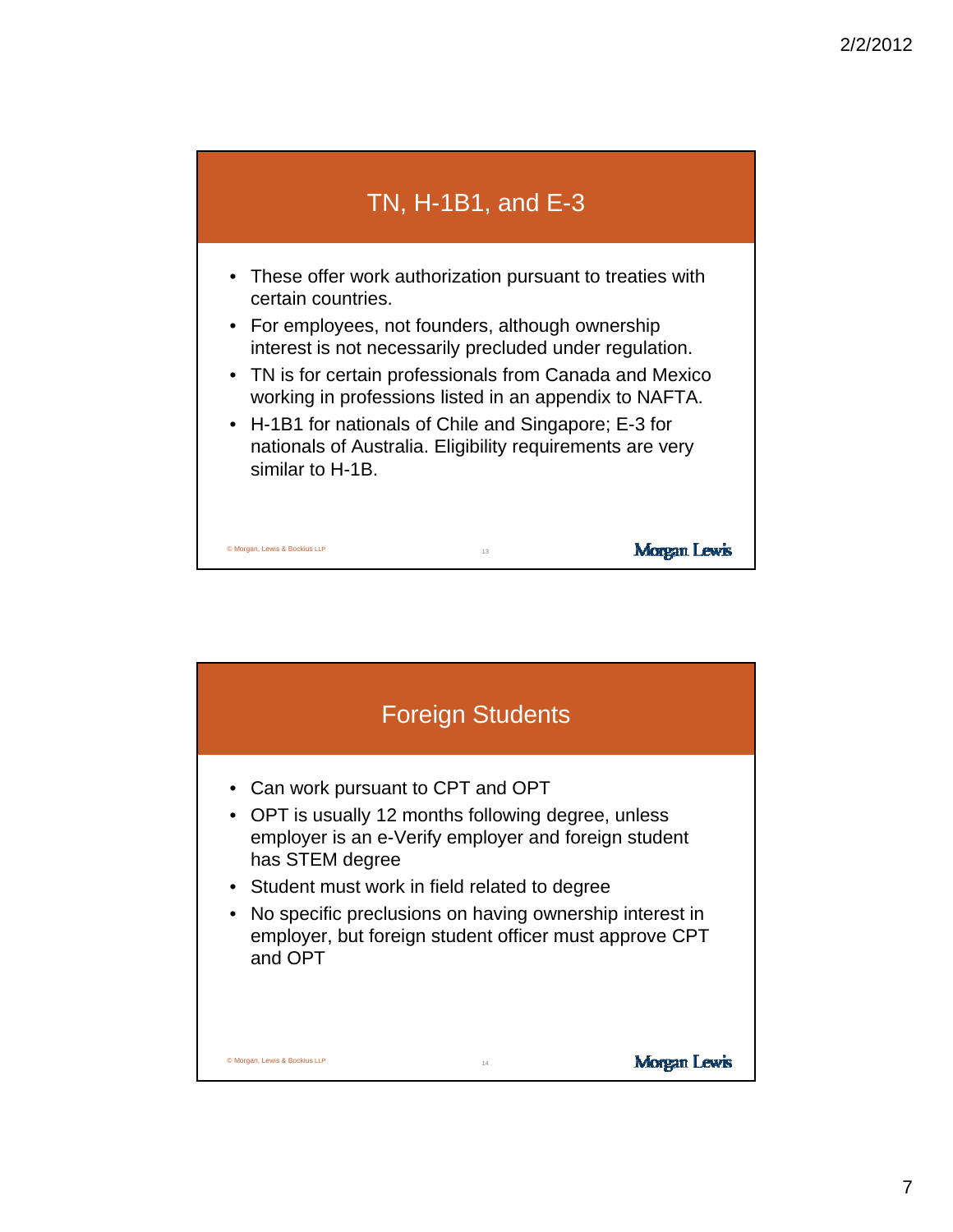

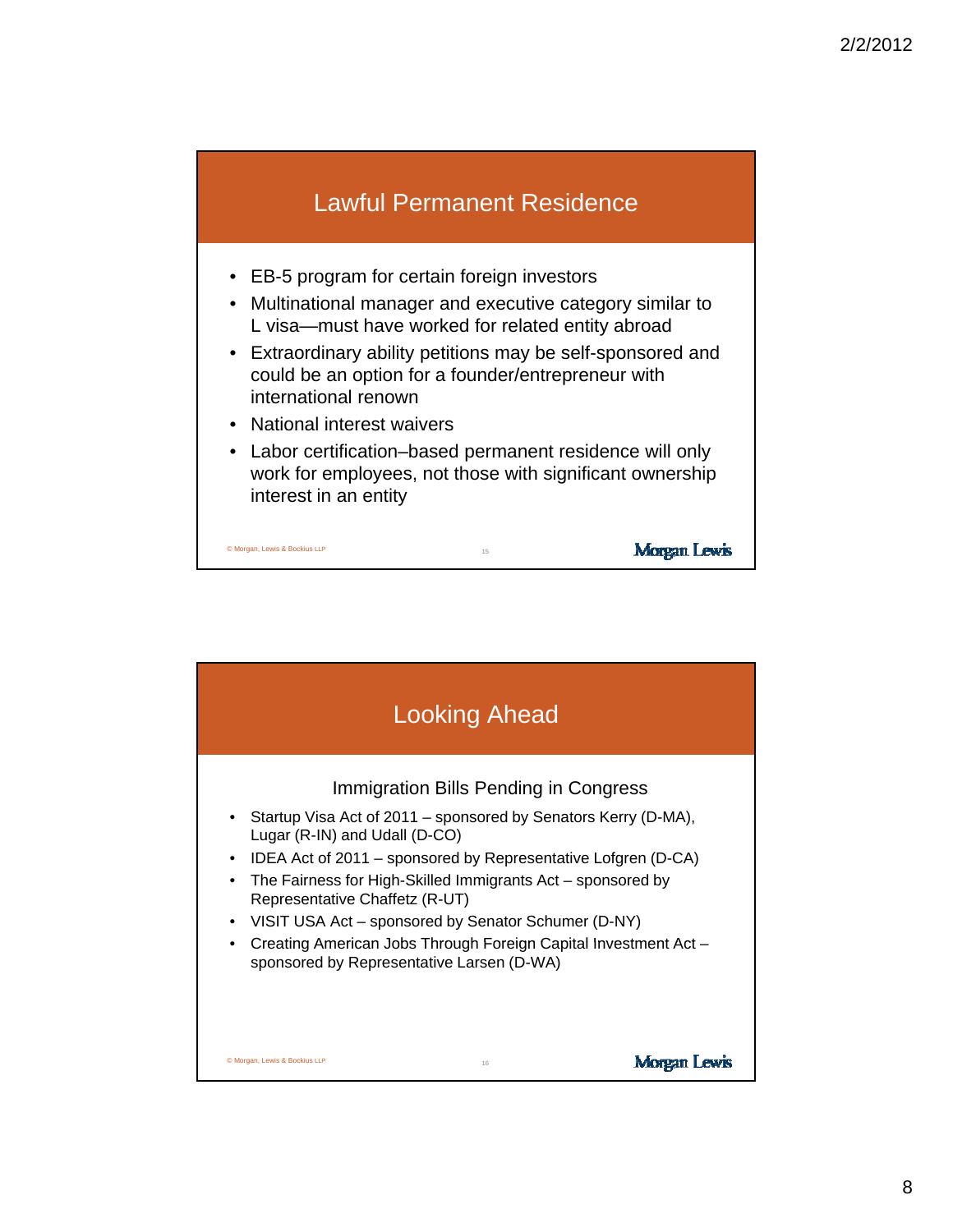

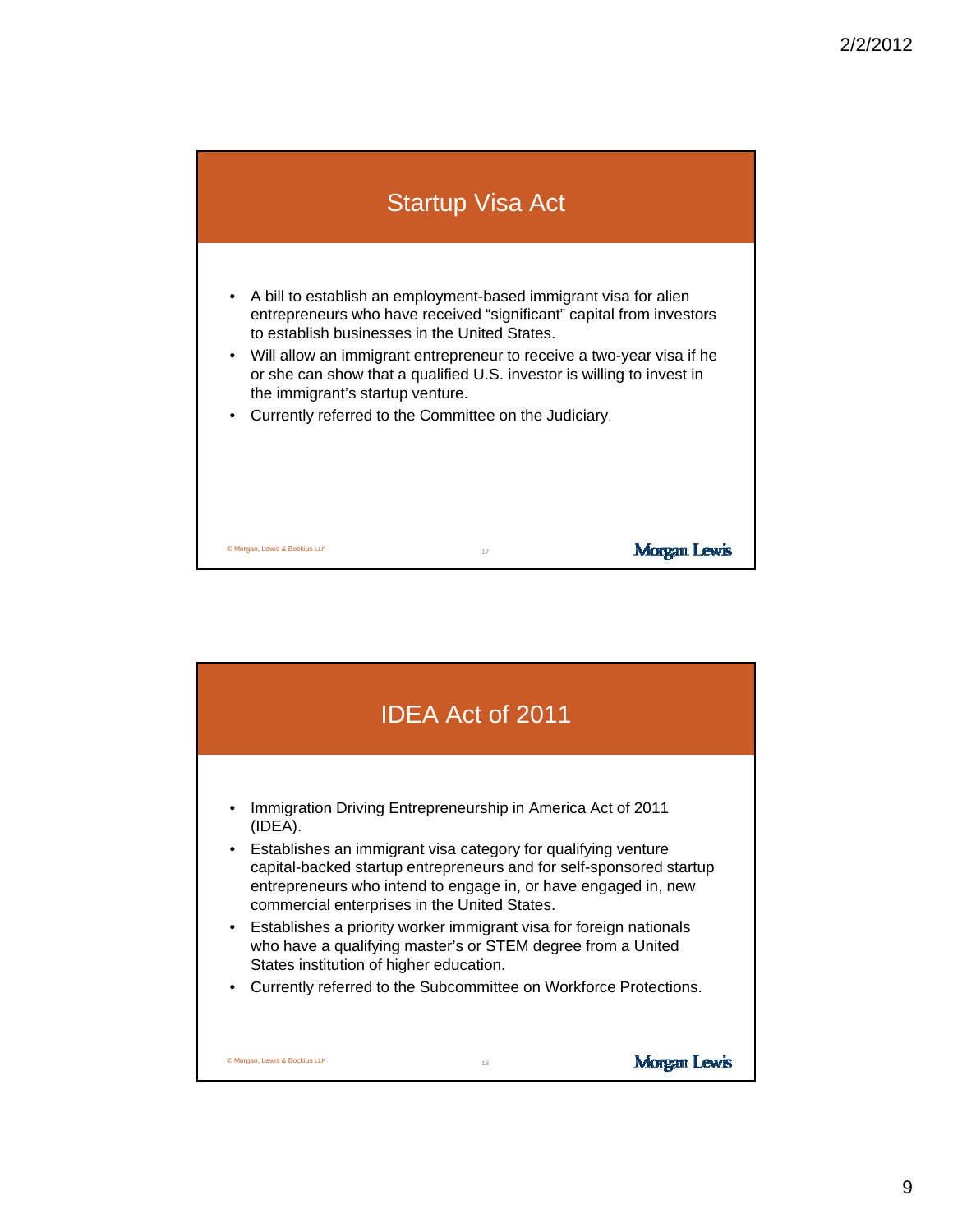

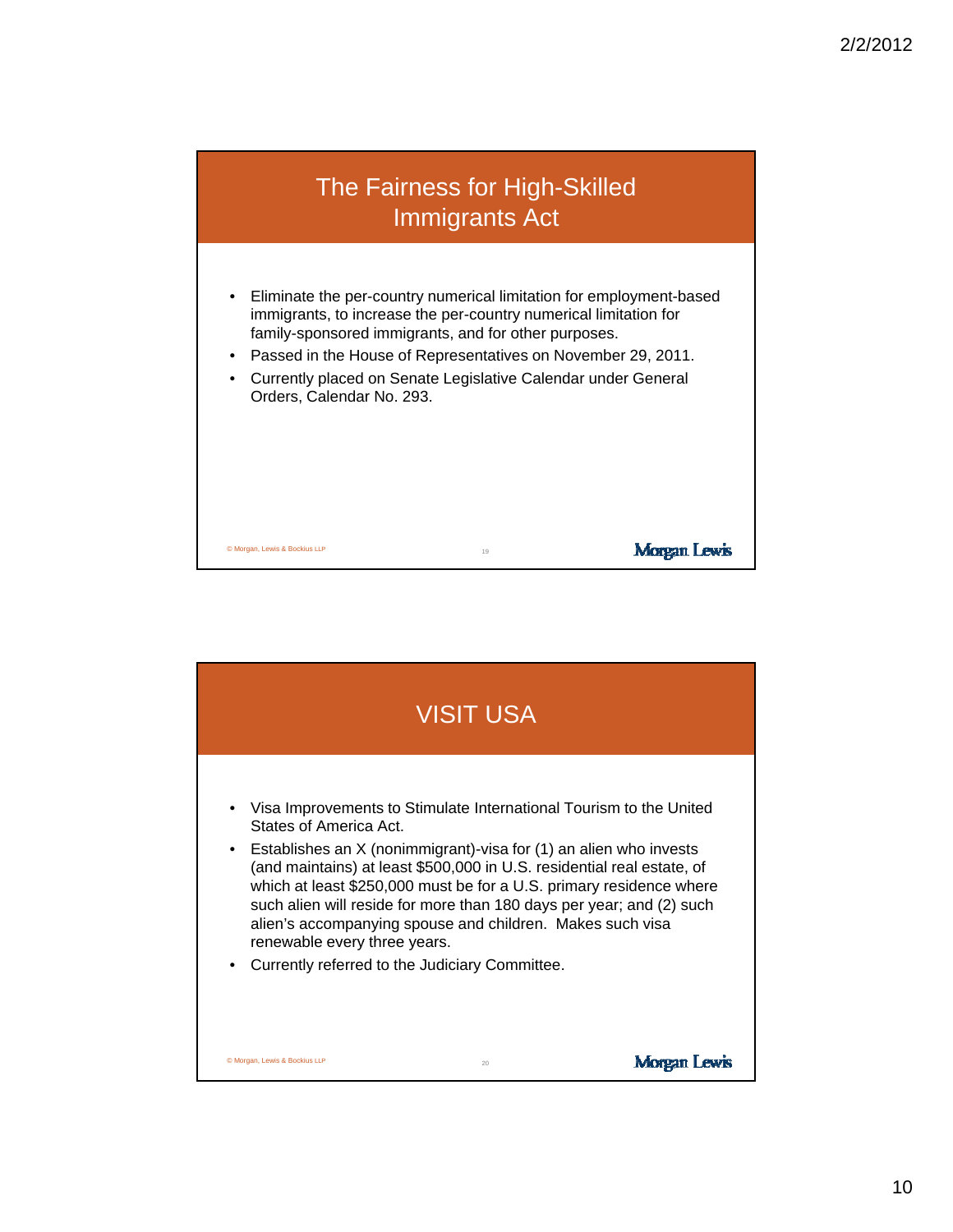

- Eliminate the per-country numerical limitation for employment-based immigrants, to increase the per-country numerical limitation for family-sponsored immigrants, and for other purposes.
- Passed in the House of Representatives on November 29, 2011.
- Currently placed on Senate Legislative Calendar under General Orders, Calendar No. 293.

Morgan Lewis

© Morgan, Lewis & Bockius LLP <sup>19</sup>

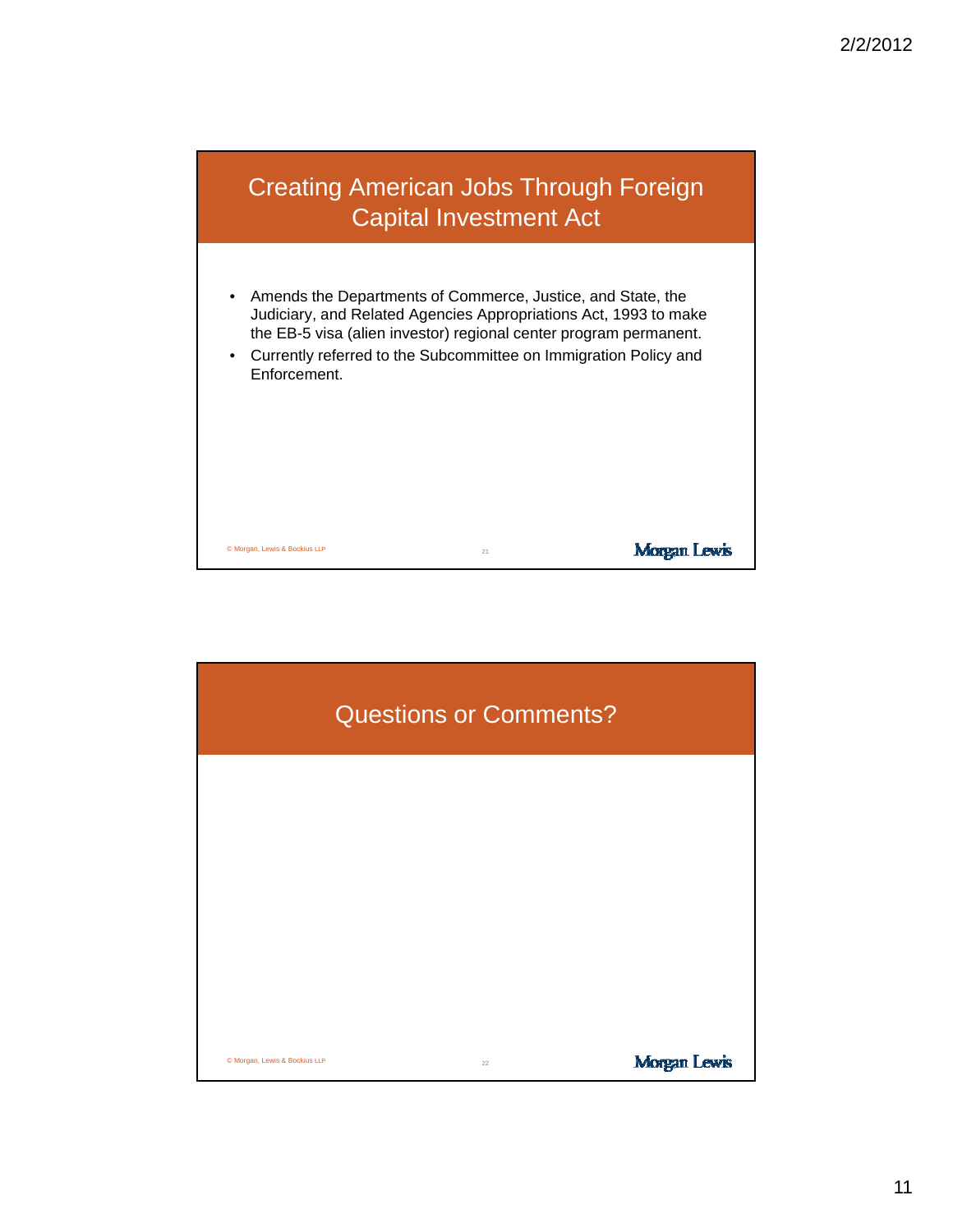

- Amends the Departments of Commerce, Justice, and State, the Judiciary, and Related Agencies Appropriations Act, 1993 to make the EB-5 visa (alien investor) regional center program permanent.
- Currently referred to the Subcommittee on Immigration Policy and Enforcement.

**Morgan Lewis** 

© Morgan, Lewis & Bockius LLP <sup>21</sup>

Questions or Comments? © Morgan, Lewis & Bockius LLP <sup>22</sup>**Morgan Lewis**